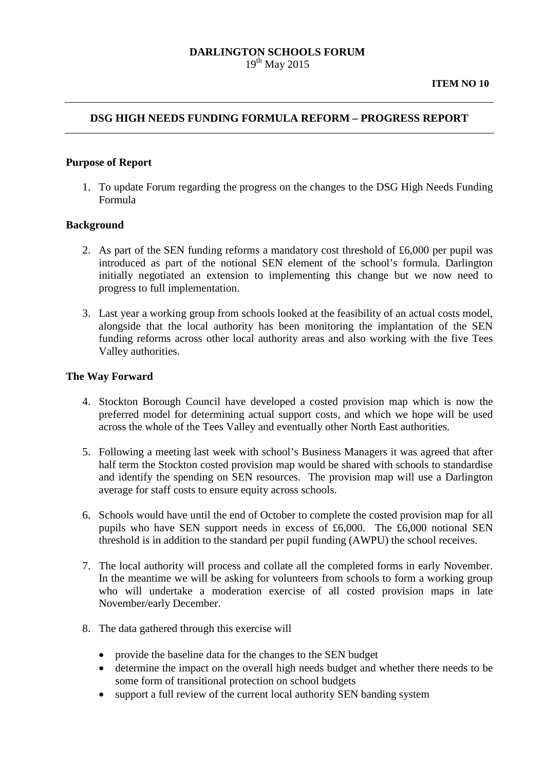## **DARLINGTON SCHOOLS FORUM**  $19^{th}$  May 2015

## **DSG HIGH NEEDS FUNDING FORMULA REFORM – PROGRESS REPORT**

#### **Purpose of Report**

1. To update Forum regarding the progress on the changes to the DSG High Needs Funding Formula

#### **Background**

- 2. As part of the SEN funding reforms a mandatory cost threshold of £6,000 per pupil was introduced as part of the notional SEN element of the school's formula. Darlington initially negotiated an extension to implementing this change but we now need to progress to full implementation.
- 3. Last year a working group from schools looked at the feasibility of an actual costs model, alongside that the local authority has been monitoring the implantation of the SEN funding reforms across other local authority areas and also working with the five Tees Valley authorities.

#### **The Way Forward**

- 4. Stockton Borough Council have developed a costed provision map which is now the preferred model for determining actual support costs, and which we hope will be used across the whole of the Tees Valley and eventually other North East authorities.
- 5. Following a meeting last week with school's Business Managers it was agreed that after half term the Stockton costed provision map would be shared with schools to standardise and identify the spending on SEN resources. The provision map will use a Darlington average for staff costs to ensure equity across schools.
- 6. Schools would have until the end of October to complete the costed provision map for all pupils who have SEN support needs in excess of £6,000. The £6,000 notional SEN threshold is in addition to the standard per pupil funding (AWPU) the school receives.
- 7. The local authority will process and collate all the completed forms in early November. In the meantime we will be asking for volunteers from schools to form a working group who will undertake a moderation exercise of all costed provision maps in late November/early December.
- 8. The data gathered through this exercise will
	- provide the baseline data for the changes to the SEN budget
	- determine the impact on the overall high needs budget and whether there needs to be some form of transitional protection on school budgets
	- support a full review of the current local authority SEN banding system